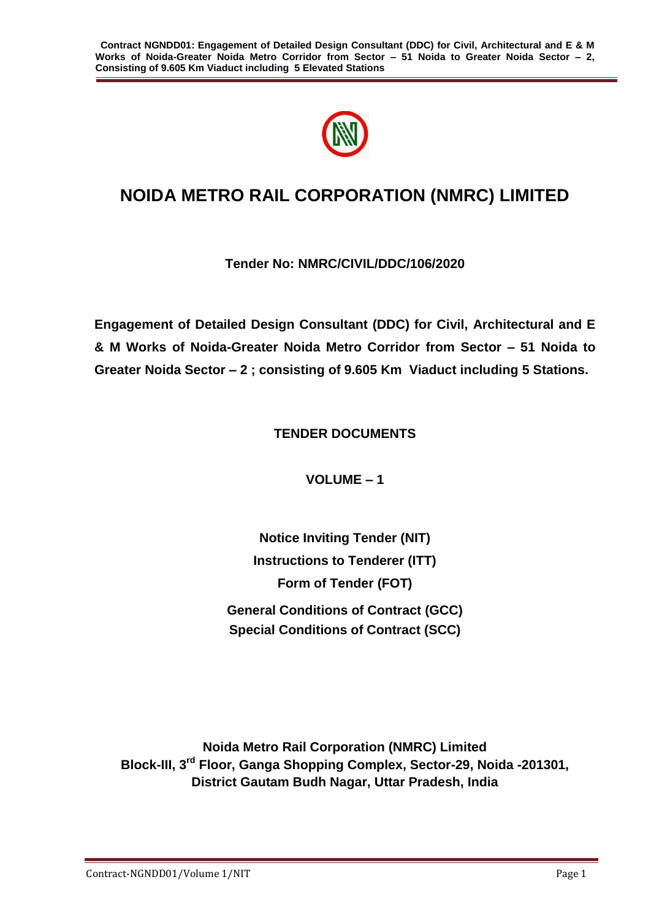

# **NOIDA METRO RAIL CORPORATION (NMRC) LIMITED**

# **Tender No: NMRC/CIVIL/DDC/106/2020**

**Engagement of Detailed Design Consultant (DDC) for Civil, Architectural and E & M Works of Noida-Greater Noida Metro Corridor from Sector – 51 Noida to Greater Noida Sector – 2 ; consisting of 9.605 Km Viaduct including 5 Stations.**

**TENDER DOCUMENTS**

**VOLUME – 1**

**Notice Inviting Tender (NIT) Instructions to Tenderer (ITT) Form of Tender (FOT) General Conditions of Contract (GCC) Special Conditions of Contract (SCC)**

**Noida Metro Rail Corporation (NMRC) Limited Block-III, 3rd Floor, Ganga Shopping Complex, Sector-29, Noida -201301, District Gautam Budh Nagar, Uttar Pradesh, India**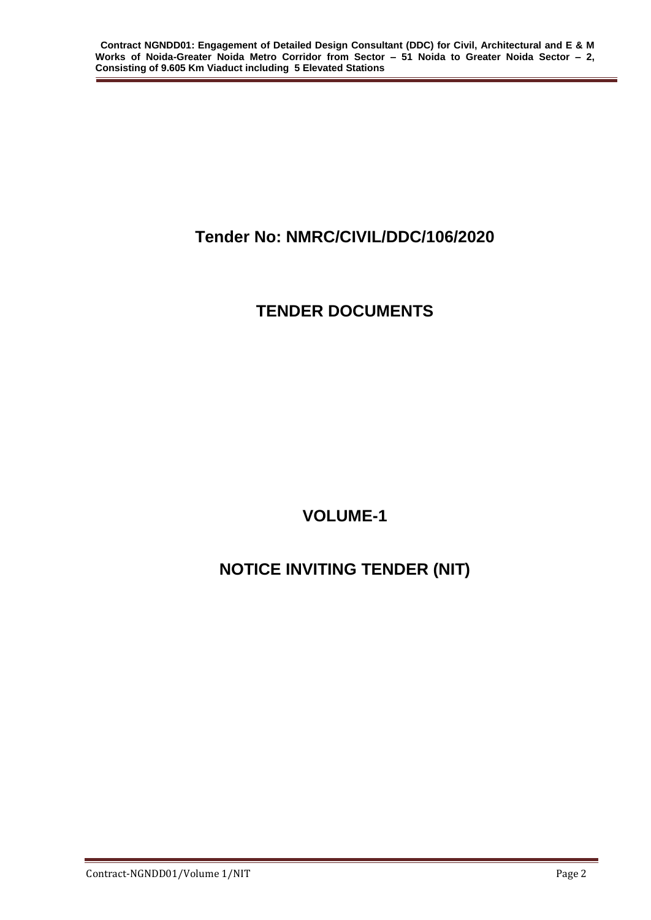# **Tender No: NMRC/CIVIL/DDC/106/2020**

# **TENDER DOCUMENTS**

**VOLUME-1**

# **NOTICE INVITING TENDER (NIT)**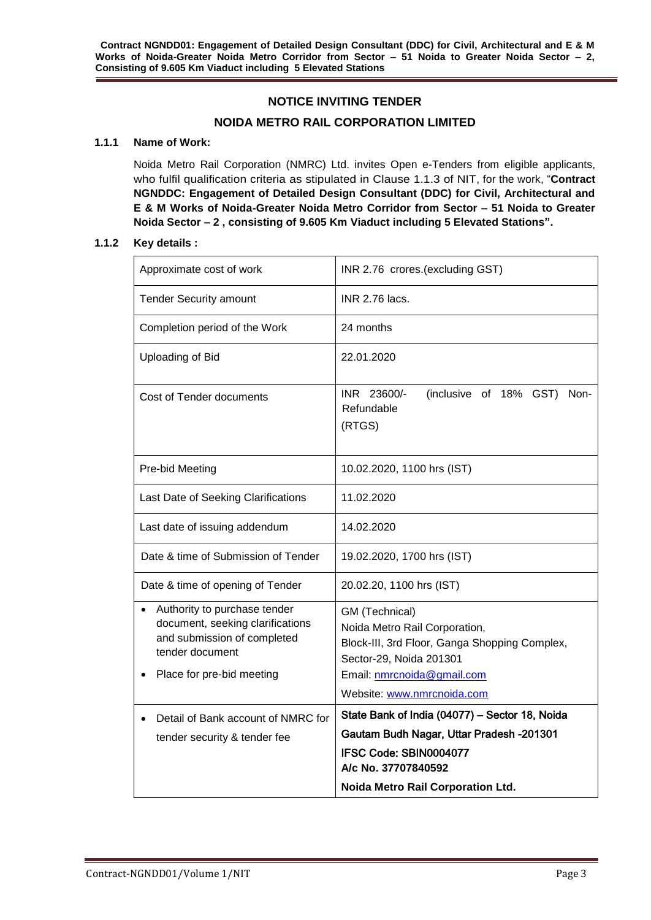## **NOTICE INVITING TENDER**

### **NOIDA METRO RAIL CORPORATION LIMITED**

#### **1.1.1 Name of Work:**

Noida Metro Rail Corporation (NMRC) Ltd. invites Open e-Tenders from eligible applicants, who fulfil qualification criteria as stipulated in Clause 1.1.3 of NIT, for the work, "**Contract NGNDDC: Engagement of Detailed Design Consultant (DDC) for Civil, Architectural and E & M Works of Noida-Greater Noida Metro Corridor from Sector – 51 Noida to Greater Noida Sector – 2 , consisting of 9.605 Km Viaduct including 5 Elevated Stations".**

#### **1.1.2 Key details :**

| Approximate cost of work                                                                                                                        | INR 2.76 crores.(excluding GST)                                                                                                                                                         |  |  |  |
|-------------------------------------------------------------------------------------------------------------------------------------------------|-----------------------------------------------------------------------------------------------------------------------------------------------------------------------------------------|--|--|--|
| <b>Tender Security amount</b>                                                                                                                   | INR 2.76 lacs.                                                                                                                                                                          |  |  |  |
| Completion period of the Work                                                                                                                   | 24 months                                                                                                                                                                               |  |  |  |
| Uploading of Bid                                                                                                                                | 22.01.2020                                                                                                                                                                              |  |  |  |
| Cost of Tender documents                                                                                                                        | INR 23600/-<br>(inclusive of 18% GST)<br>Non-<br>Refundable<br>(RTGS)                                                                                                                   |  |  |  |
| Pre-bid Meeting                                                                                                                                 | 10.02.2020, 1100 hrs (IST)                                                                                                                                                              |  |  |  |
| Last Date of Seeking Clarifications                                                                                                             | 11.02.2020                                                                                                                                                                              |  |  |  |
| Last date of issuing addendum                                                                                                                   | 14.02.2020                                                                                                                                                                              |  |  |  |
| Date & time of Submission of Tender                                                                                                             | 19.02.2020, 1700 hrs (IST)                                                                                                                                                              |  |  |  |
| Date & time of opening of Tender                                                                                                                | 20.02.20, 1100 hrs (IST)                                                                                                                                                                |  |  |  |
| Authority to purchase tender<br>document, seeking clarifications<br>and submission of completed<br>tender document<br>Place for pre-bid meeting | GM (Technical)<br>Noida Metro Rail Corporation,<br>Block-III, 3rd Floor, Ganga Shopping Complex,<br>Sector-29, Noida 201301<br>Email: nmrcnoida@gmail.com<br>Website: www.nmrcnoida.com |  |  |  |
| Detail of Bank account of NMRC for                                                                                                              | State Bank of India (04077) - Sector 18, Noida<br>Gautam Budh Nagar, Uttar Pradesh -201301                                                                                              |  |  |  |
| tender security & tender fee                                                                                                                    | IFSC Code: SBIN0004077<br>A/c No. 37707840592                                                                                                                                           |  |  |  |
|                                                                                                                                                 | Noida Metro Rail Corporation Ltd.                                                                                                                                                       |  |  |  |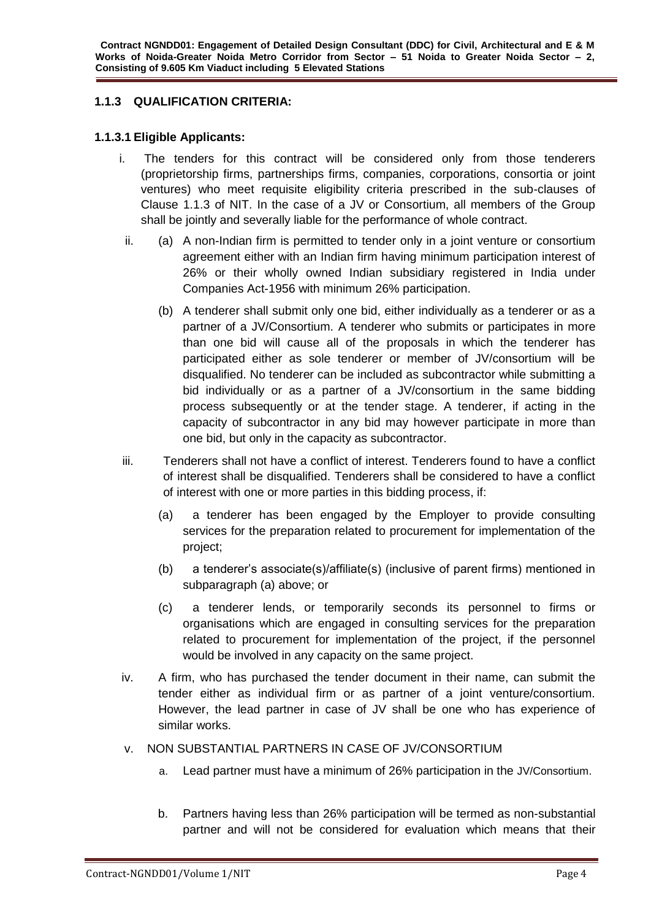# **1.1.3 QUALIFICATION CRITERIA:**

### **1.1.3.1 Eligible Applicants:**

- i. The tenders for this contract will be considered only from those tenderers (proprietorship firms, partnerships firms, companies, corporations, consortia or joint ventures) who meet requisite eligibility criteria prescribed in the sub-clauses of Clause 1.1.3 of NIT. In the case of a JV or Consortium, all members of the Group shall be jointly and severally liable for the performance of whole contract.
	- ii. (a) A non-Indian firm is permitted to tender only in a joint venture or consortium agreement either with an Indian firm having minimum participation interest of 26% or their wholly owned Indian subsidiary registered in India under Companies Act-1956 with minimum 26% participation.
		- (b) A tenderer shall submit only one bid, either individually as a tenderer or as a partner of a JV/Consortium. A tenderer who submits or participates in more than one bid will cause all of the proposals in which the tenderer has participated either as sole tenderer or member of JV/consortium will be disqualified. No tenderer can be included as subcontractor while submitting a bid individually or as a partner of a JV/consortium in the same bidding process subsequently or at the tender stage. A tenderer, if acting in the capacity of subcontractor in any bid may however participate in more than one bid, but only in the capacity as subcontractor.
- iii. Tenderers shall not have a conflict of interest. Tenderers found to have a conflict of interest shall be disqualified. Tenderers shall be considered to have a conflict of interest with one or more parties in this bidding process, if:
	- (a) a tenderer has been engaged by the Employer to provide consulting services for the preparation related to procurement for implementation of the project;
	- (b) a tenderer's associate(s)/affiliate(s) (inclusive of parent firms) mentioned in subparagraph (a) above; or
	- (c) a tenderer lends, or temporarily seconds its personnel to firms or organisations which are engaged in consulting services for the preparation related to procurement for implementation of the project, if the personnel would be involved in any capacity on the same project.
- iv. A firm, who has purchased the tender document in their name, can submit the tender either as individual firm or as partner of a joint venture/consortium. However, the lead partner in case of JV shall be one who has experience of similar works.
- v. NON SUBSTANTIAL PARTNERS IN CASE OF JV/CONSORTIUM
	- a. Lead partner must have a minimum of 26% participation in the JV/Consortium.
	- b. Partners having less than 26% participation will be termed as non-substantial partner and will not be considered for evaluation which means that their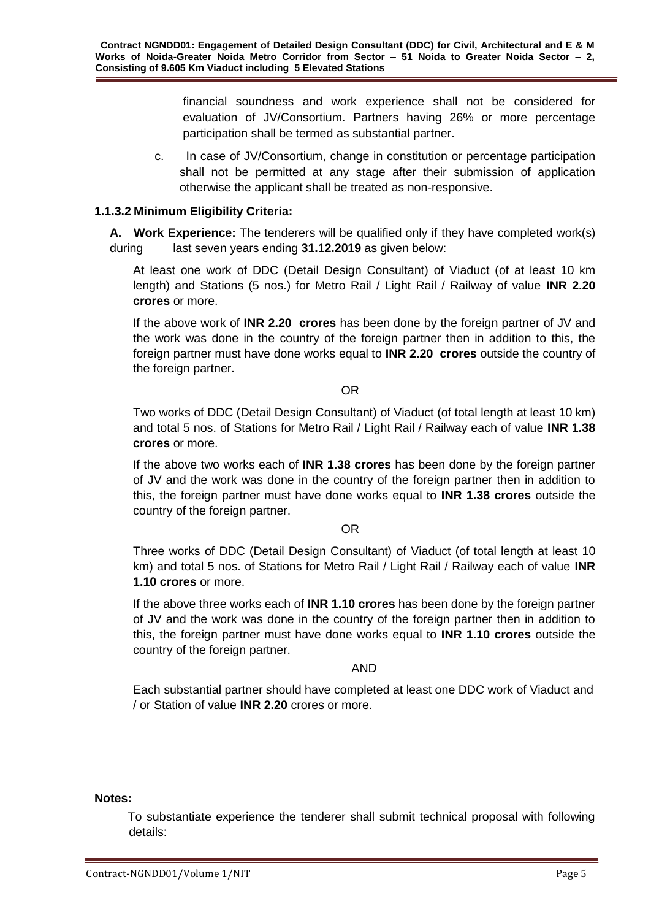financial soundness and work experience shall not be considered for evaluation of JV/Consortium. Partners having 26% or more percentage participation shall be termed as substantial partner.

c. In case of JV/Consortium, change in constitution or percentage participation shall not be permitted at any stage after their submission of application otherwise the applicant shall be treated as non-responsive.

### **1.1.3.2 Minimum Eligibility Criteria:**

**A. Work Experience:** The tenderers will be qualified only if they have completed work(s) during last seven years ending **31.12.2019** as given below:

At least one work of DDC (Detail Design Consultant) of Viaduct (of at least 10 km length) and Stations (5 nos.) for Metro Rail / Light Rail / Railway of value **INR 2.20 crores** or more.

If the above work of **INR 2.20 crores** has been done by the foreign partner of JV and the work was done in the country of the foreign partner then in addition to this, the foreign partner must have done works equal to **INR 2.20 crores** outside the country of the foreign partner.

#### OR

Two works of DDC (Detail Design Consultant) of Viaduct (of total length at least 10 km) and total 5 nos. of Stations for Metro Rail / Light Rail / Railway each of value **INR 1.38 crores** or more.

If the above two works each of **INR 1.38 crores** has been done by the foreign partner of JV and the work was done in the country of the foreign partner then in addition to this, the foreign partner must have done works equal to **INR 1.38 crores** outside the country of the foreign partner.

#### OR

Three works of DDC (Detail Design Consultant) of Viaduct (of total length at least 10 km) and total 5 nos. of Stations for Metro Rail / Light Rail / Railway each of value **INR 1.10 crores** or more.

If the above three works each of **INR 1.10 crores** has been done by the foreign partner of JV and the work was done in the country of the foreign partner then in addition to this, the foreign partner must have done works equal to **INR 1.10 crores** outside the country of the foreign partner.

#### AND

Each substantial partner should have completed at least one DDC work of Viaduct and / or Station of value **INR 2.20** crores or more.

#### **Notes:**

 To substantiate experience the tenderer shall submit technical proposal with following details: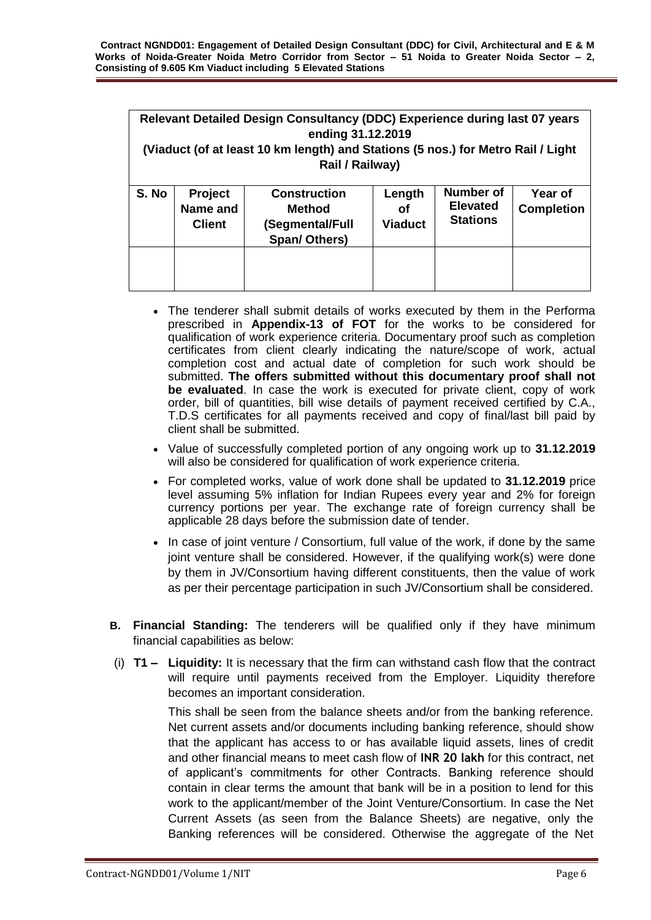| Relevant Detailed Design Consultancy (DDC) Experience during last 07 years<br>ending 31.12.2019<br>(Viaduct (of at least 10 km length) and Stations (5 nos.) for Metro Rail / Light<br>Rail / Railway) |                                             |                                                                   |                                |                                                 |                              |  |
|--------------------------------------------------------------------------------------------------------------------------------------------------------------------------------------------------------|---------------------------------------------|-------------------------------------------------------------------|--------------------------------|-------------------------------------------------|------------------------------|--|
| S. No                                                                                                                                                                                                  | <b>Project</b><br>Name and<br><b>Client</b> | <b>Construction</b><br>Method<br>(Segmental/Full<br>Span/ Others) | Length<br>οf<br><b>Viaduct</b> | Number of<br><b>Elevated</b><br><b>Stations</b> | Year of<br><b>Completion</b> |  |
|                                                                                                                                                                                                        |                                             |                                                                   |                                |                                                 |                              |  |

- The tenderer shall submit details of works executed by them in the Performa prescribed in **Appendix-13 of FOT** for the works to be considered for qualification of work experience criteria. Documentary proof such as completion certificates from client clearly indicating the nature/scope of work, actual completion cost and actual date of completion for such work should be submitted. **The offers submitted without this documentary proof shall not be evaluated**. In case the work is executed for private client, copy of work order, bill of quantities, bill wise details of payment received certified by C.A., T.D.S certificates for all payments received and copy of final/last bill paid by client shall be submitted.
- Value of successfully completed portion of any ongoing work up to **31.12.2019**  will also be considered for qualification of work experience criteria.
- For completed works, value of work done shall be updated to **31.12.2019** price level assuming 5% inflation for Indian Rupees every year and 2% for foreign currency portions per year. The exchange rate of foreign currency shall be applicable 28 days before the submission date of tender.
- In case of joint venture / Consortium, full value of the work, if done by the same joint venture shall be considered. However, if the qualifying work(s) were done by them in JV/Consortium having different constituents, then the value of work as per their percentage participation in such JV/Consortium shall be considered.
- **B. Financial Standing:** The tenderers will be qualified only if they have minimum financial capabilities as below:
- (i) **T1 – Liquidity:** It is necessary that the firm can withstand cash flow that the contract will require until payments received from the Employer. Liquidity therefore becomes an important consideration.

This shall be seen from the balance sheets and/or from the banking reference. Net current assets and/or documents including banking reference, should show that the applicant has access to or has available liquid assets, lines of credit and other financial means to meet cash flow of **INR 20 lakh** for this contract, net of applicant's commitments for other Contracts. Banking reference should contain in clear terms the amount that bank will be in a position to lend for this work to the applicant/member of the Joint Venture/Consortium. In case the Net Current Assets (as seen from the Balance Sheets) are negative, only the Banking references will be considered. Otherwise the aggregate of the Net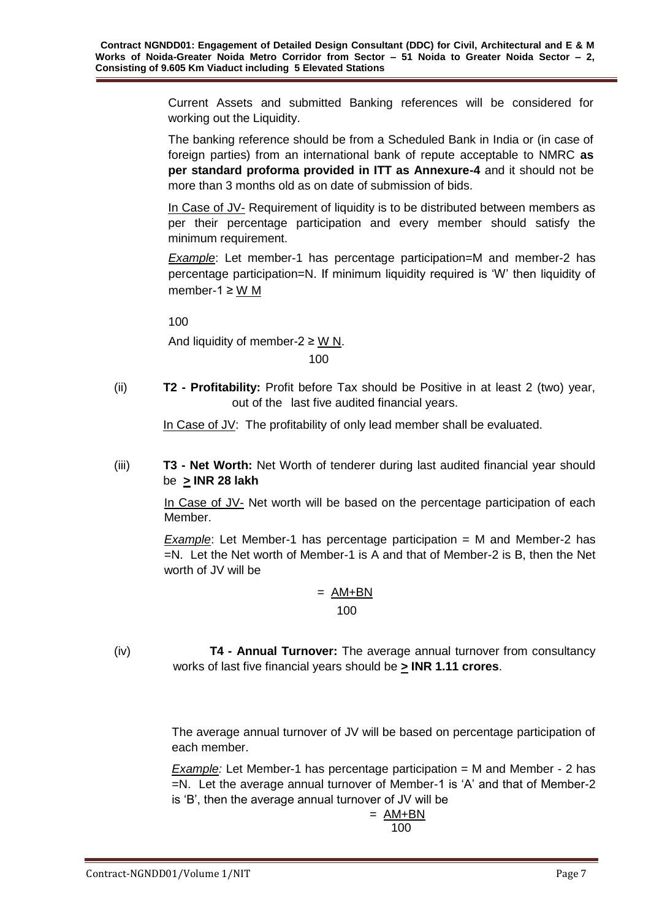Current Assets and submitted Banking references will be considered for working out the Liquidity.

The banking reference should be from a Scheduled Bank in India or (in case of foreign parties) from an international bank of repute acceptable to NMRC **as per standard proforma provided in ITT as Annexure-4** and it should not be more than 3 months old as on date of submission of bids.

In Case of JV- Requirement of liquidity is to be distributed between members as per their percentage participation and every member should satisfy the minimum requirement.

**Example:** Let member-1 has percentage participation=M and member-2 has percentage participation=N. If minimum liquidity required is 'W' then liquidity of member-1 ≥ W M

100

And liquidity of member-2  $\geq$  W N. 100

(ii) **T2 - Profitability:** Profit before Tax should be Positive in at least 2 (two) year, out of the last five audited financial years.

In Case of JV: The profitability of only lead member shall be evaluated.

(iii) **T3 - Net Worth:** Net Worth of tenderer during last audited financial year should be **> INR 28 lakh** 

> In Case of JV- Net worth will be based on the percentage participation of each Member.

> *Example*: Let Member-1 has percentage participation = M and Member-2 has =N. Let the Net worth of Member-1 is A and that of Member-2 is B, then the Net worth of JV will be

# $= AM+BN$

100

(iv) **T4 - Annual Turnover:** The average annual turnover from consultancy works of last five financial years should be **> INR 1.11 crores**.

> The average annual turnover of JV will be based on percentage participation of each member.

> *Example:* Let Member-1 has percentage participation = M and Member - 2 has =N. Let the average annual turnover of Member-1 is 'A' and that of Member-2 is 'B', then the average annual turnover of JV will be

$$
= \frac{\text{AM+BN}}{100}
$$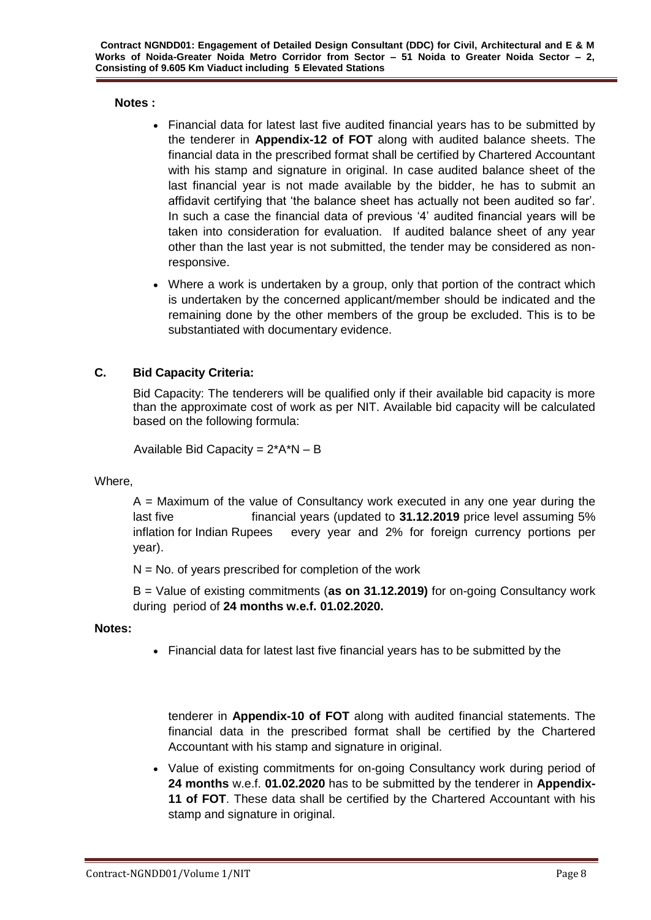## **Notes :**

- Financial data for latest last five audited financial years has to be submitted by the tenderer in **Appendix-12 of FOT** along with audited balance sheets. The financial data in the prescribed format shall be certified by Chartered Accountant with his stamp and signature in original. In case audited balance sheet of the last financial year is not made available by the bidder, he has to submit an affidavit certifying that 'the balance sheet has actually not been audited so far'. In such a case the financial data of previous '4' audited financial years will be taken into consideration for evaluation. If audited balance sheet of any year other than the last year is not submitted, the tender may be considered as nonresponsive.
- Where a work is undertaken by a group, only that portion of the contract which is undertaken by the concerned applicant/member should be indicated and the remaining done by the other members of the group be excluded. This is to be substantiated with documentary evidence.

# **C. Bid Capacity Criteria:**

Bid Capacity: The tenderers will be qualified only if their available bid capacity is more than the approximate cost of work as per NIT. Available bid capacity will be calculated based on the following formula:

Available Bid Capacity =  $2*A*N - B$ 

Where,

 $A =$  Maximum of the value of Consultancy work executed in any one year during the last five financial years (updated to **31.12.2019** price level assuming 5% inflation for Indian Rupees every year and 2% for foreign currency portions per year).

 $N = No$ . of years prescribed for completion of the work

B = Value of existing commitments (**as on 31.12.2019)** for on-going Consultancy work during period of **24 months w.e.f. 01.02.2020.**

### **Notes:**

Financial data for latest last five financial years has to be submitted by the

tenderer in **Appendix-10 of FOT** along with audited financial statements. The financial data in the prescribed format shall be certified by the Chartered Accountant with his stamp and signature in original.

• Value of existing commitments for on-going Consultancy work during period of **24 months** w.e.f. **01.02.2020** has to be submitted by the tenderer in **Appendix-11 of FOT**. These data shall be certified by the Chartered Accountant with his stamp and signature in original.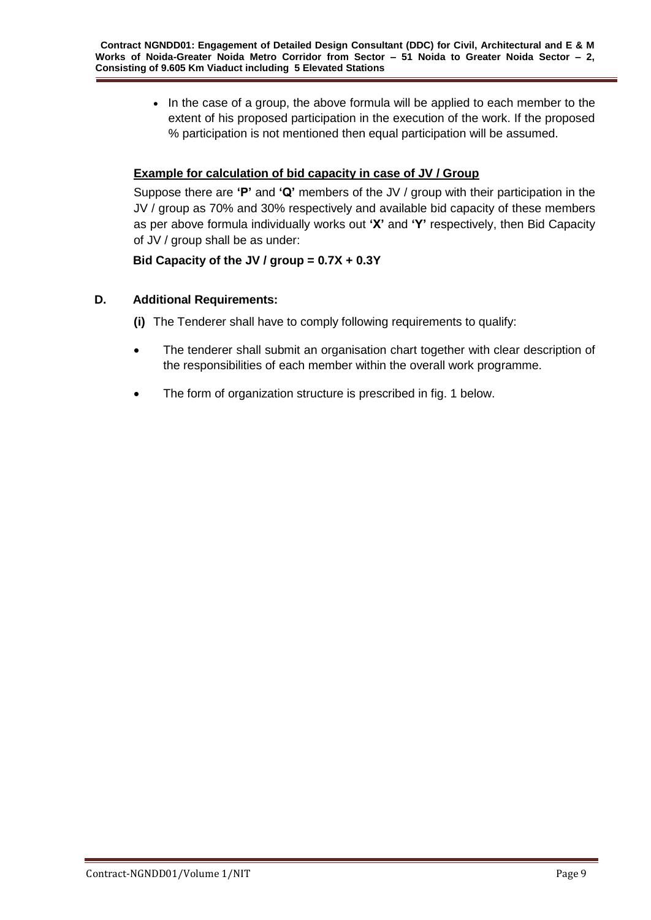• In the case of a group, the above formula will be applied to each member to the extent of his proposed participation in the execution of the work. If the proposed % participation is not mentioned then equal participation will be assumed.

# **Example for calculation of bid capacity in case of JV / Group**

Suppose there are **'P'** and **'Q'** members of the JV / group with their participation in the JV / group as 70% and 30% respectively and available bid capacity of these members as per above formula individually works out **'X'** and **'Y'** respectively, then Bid Capacity of JV / group shall be as under:

# **Bid Capacity of the JV / group = 0.7X + 0.3Y**

# **D. Additional Requirements:**

- **(i)** The Tenderer shall have to comply following requirements to qualify:
- The tenderer shall submit an organisation chart together with clear description of the responsibilities of each member within the overall work programme.
- The form of organization structure is prescribed in fig. 1 below.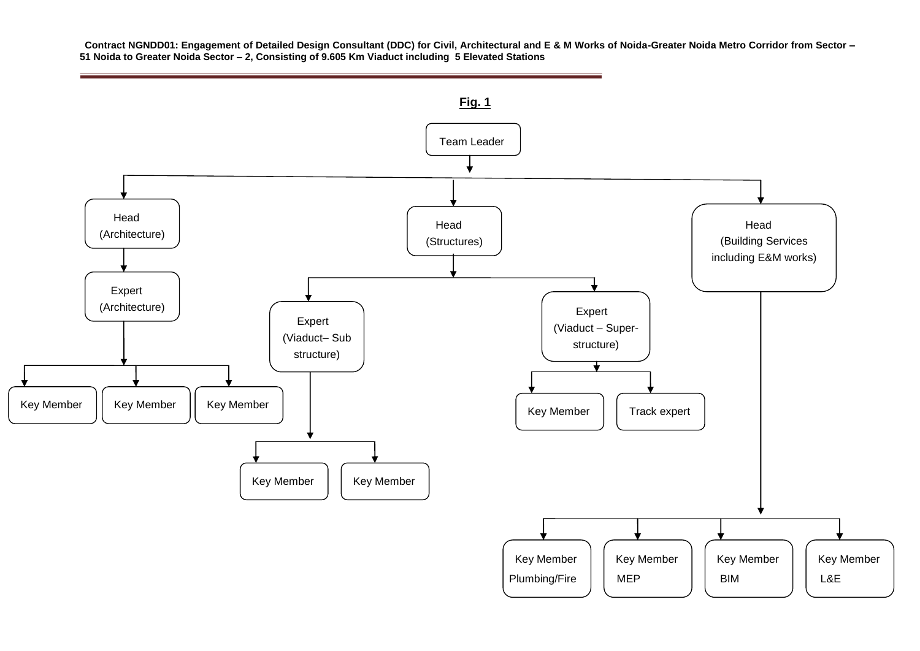**Contract NGNDD01: Engagement of Detailed Design Consultant (DDC) for Civil, Architectural and E & M Works of Noida-Greater Noida Metro Corridor from Sector – 51 Noida to Greater Noida Sector – 2, Consisting of 9.605 Km Viaduct including 5 Elevated Stations**

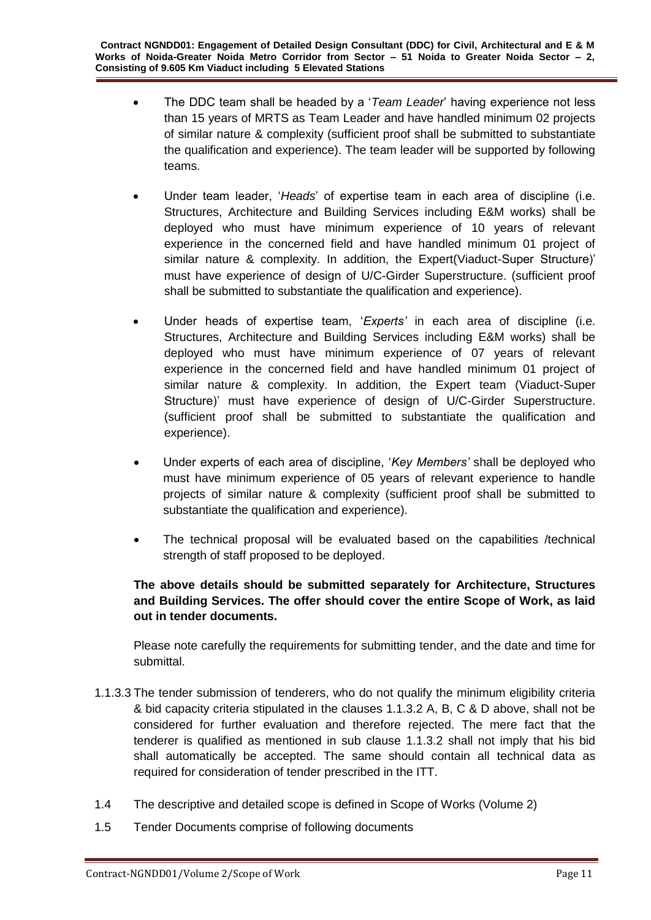- The DDC team shall be headed by a '*Team Leader*' having experience not less than 15 years of MRTS as Team Leader and have handled minimum 02 projects of similar nature & complexity (sufficient proof shall be submitted to substantiate the qualification and experience). The team leader will be supported by following teams.
- Under team leader, '*Heads*' of expertise team in each area of discipline (i.e. Structures, Architecture and Building Services including E&M works) shall be deployed who must have minimum experience of 10 years of relevant experience in the concerned field and have handled minimum 01 project of similar nature & complexity. In addition, the Expert(Viaduct-Super Structure)' must have experience of design of U/C-Girder Superstructure. (sufficient proof shall be submitted to substantiate the qualification and experience).
- Under heads of expertise team, '*Experts'* in each area of discipline (i.e. Structures, Architecture and Building Services including E&M works) shall be deployed who must have minimum experience of 07 years of relevant experience in the concerned field and have handled minimum 01 project of similar nature & complexity. In addition, the Expert team (Viaduct-Super Structure)' must have experience of design of U/C-Girder Superstructure. (sufficient proof shall be submitted to substantiate the qualification and experience).
- Under experts of each area of discipline, '*Key Members'* shall be deployed who must have minimum experience of 05 years of relevant experience to handle projects of similar nature & complexity (sufficient proof shall be submitted to substantiate the qualification and experience).
- The technical proposal will be evaluated based on the capabilities /technical strength of staff proposed to be deployed.

# **The above details should be submitted separately for Architecture, Structures and Building Services. The offer should cover the entire Scope of Work, as laid out in tender documents.**

Please note carefully the requirements for submitting tender, and the date and time for submittal.

- 1.1.3.3 The tender submission of tenderers, who do not qualify the minimum eligibility criteria & bid capacity criteria stipulated in the clauses 1.1.3.2 A, B, C & D above, shall not be considered for further evaluation and therefore rejected. The mere fact that the tenderer is qualified as mentioned in sub clause 1.1.3.2 shall not imply that his bid shall automatically be accepted. The same should contain all technical data as required for consideration of tender prescribed in the ITT.
- 1.4 The descriptive and detailed scope is defined in Scope of Works (Volume 2)
- 1.5 Tender Documents comprise of following documents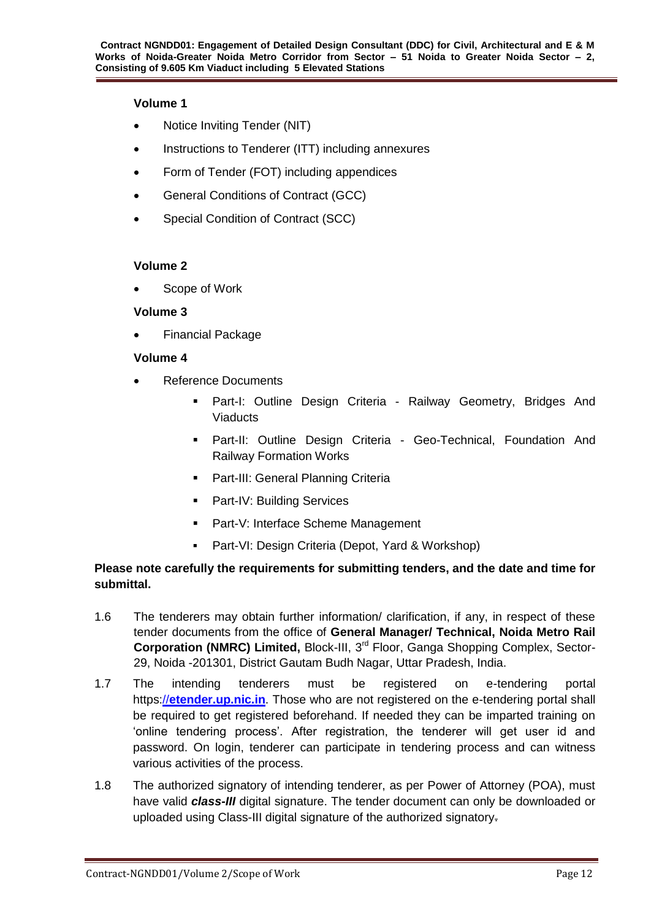### **Volume 1**

- Notice Inviting Tender (NIT)
- Instructions to Tenderer (ITT) including annexures
- Form of Tender (FOT) including appendices
- General Conditions of Contract (GCC)
- Special Condition of Contract (SCC)

## **Volume 2**

Scope of Work

## **Volume 3**

Financial Package

## **Volume 4**

- Reference Documents
	- Part-I: Outline Design Criteria Railway Geometry, Bridges And **Viaducts**
	- **Part-II: Outline Design Criteria Geo-Technical, Foundation And** Railway Formation Works
	- **Part-III: General Planning Criteria**
	- **Part-IV: Building Services**
	- **Part-V: Interface Scheme Management**
	- **Part-VI: Design Criteria (Depot, Yard & Workshop)**

## **Please note carefully the requirements for submitting tenders, and the date and time for submittal.**

- 1.6 The tenderers may obtain further information/ clarification, if any, in respect of these tender documents from the office of **General Manager/ Technical, Noida Metro Rail Corporation (NMRC) Limited,** Block-III, 3rd Floor, Ganga Shopping Complex, Sector-29, Noida -201301, District Gautam Budh Nagar, Uttar Pradesh, India.
- 1.7 The intending tenderers must be registered on e-tendering portal https://**[etender.up.nic.in](http://www.etender.up.nic.in/)**. Those who are not registered on the e-tendering portal shall be required to get registered beforehand. If needed they can be imparted training on 'online tendering process'. After registration, the tenderer will get user id and password. On login, tenderer can participate in tendering process and can witness various activities of the process.
- 1.8 The authorized signatory of intending tenderer, as per Power of Attorney (POA), must have valid *class-III* digital signature. The tender document can only be downloaded or uploaded using Class-III digital signature of the authorized signatory.